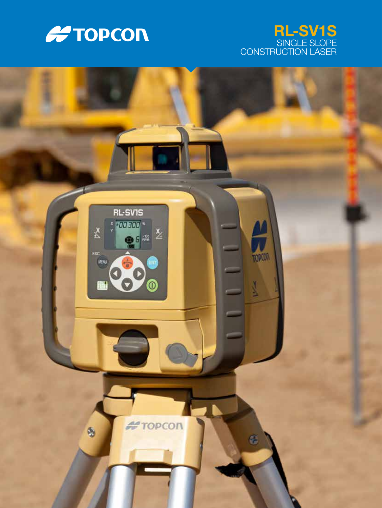